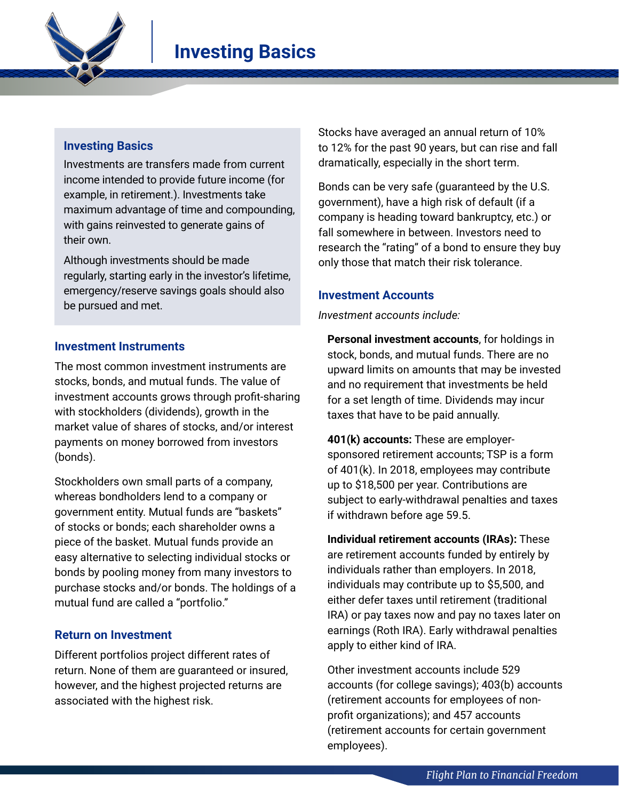

## **Investing Basics**

Investments are transfers made from current income intended to provide future income (for example, in retirement.). Investments take maximum advantage of time and compounding, with gains reinvested to generate gains of their own.

Although investments should be made regularly, starting early in the investor's lifetime, emergency/reserve savings goals should also be pursued and met.

### **Investment Instruments**

The most common investment instruments are stocks, bonds, and mutual funds. The value of investment accounts grows through profit-sharing with stockholders (dividends), growth in the market value of shares of stocks, and/or interest payments on money borrowed from investors (bonds).

Stockholders own small parts of a company, whereas bondholders lend to a company or government entity. Mutual funds are "baskets" of stocks or bonds; each shareholder owns a piece of the basket. Mutual funds provide an easy alternative to selecting individual stocks or bonds by pooling money from many investors to purchase stocks and/or bonds. The holdings of a mutual fund are called a "portfolio."

### **Return on Investment**

Different portfolios project different rates of return. None of them are guaranteed or insured, however, and the highest projected returns are associated with the highest risk.

Stocks have averaged an annual return of 10% to 12% for the past 90 years, but can rise and fall dramatically, especially in the short term.

Bonds can be very safe (guaranteed by the U.S. government), have a high risk of default (if a company is heading toward bankruptcy, etc.) or fall somewhere in between. Investors need to research the "rating" of a bond to ensure they buy only those that match their risk tolerance.

### **Investment Accounts**

*Investment accounts include:*

**Personal investment accounts**, for holdings in stock, bonds, and mutual funds. There are no upward limits on amounts that may be invested and no requirement that investments be held for a set length of time. Dividends may incur taxes that have to be paid annually.

**401(k) accounts:** These are employersponsored retirement accounts; TSP is a form of 401(k). In 2018, employees may contribute up to \$18,500 per year. Contributions are subject to early-withdrawal penalties and taxes if withdrawn before age 59.5.

**Individual retirement accounts (IRAs):** These are retirement accounts funded by entirely by individuals rather than employers. In 2018, individuals may contribute up to \$5,500, and either defer taxes until retirement (traditional IRA) or pay taxes now and pay no taxes later on earnings (Roth IRA). Early withdrawal penalties apply to either kind of IRA.

Other investment accounts include 529 accounts (for college savings); 403(b) accounts (retirement accounts for employees of nonprofit organizations); and 457 accounts (retirement accounts for certain government employees).